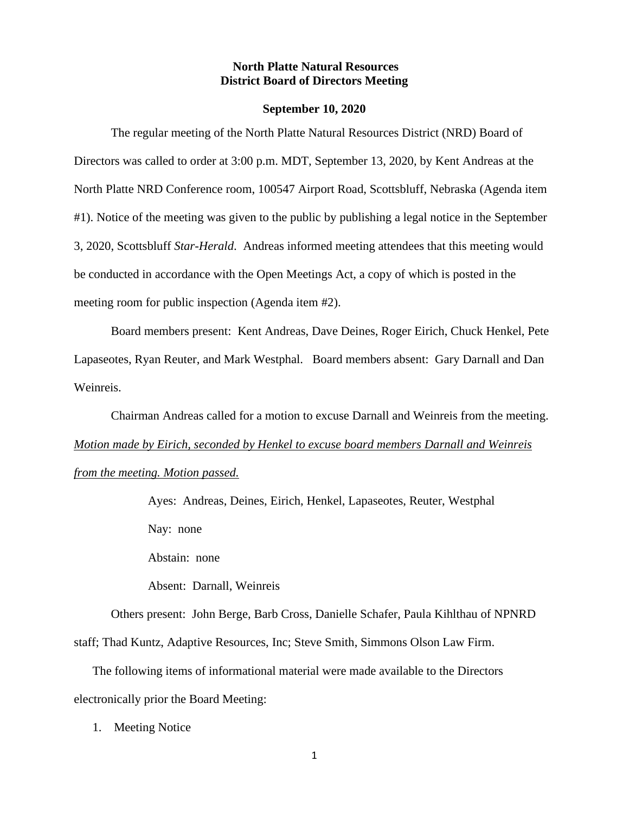## **North Platte Natural Resources District Board of Directors Meeting**

#### **September 10, 2020**

The regular meeting of the North Platte Natural Resources District (NRD) Board of Directors was called to order at 3:00 p.m. MDT, September 13, 2020, by Kent Andreas at the North Platte NRD Conference room, 100547 Airport Road, Scottsbluff, Nebraska (Agenda item #1). Notice of the meeting was given to the public by publishing a legal notice in the September 3, 2020, Scottsbluff *Star-Herald*. Andreas informed meeting attendees that this meeting would be conducted in accordance with the Open Meetings Act, a copy of which is posted in the meeting room for public inspection (Agenda item #2).

Board members present: Kent Andreas, Dave Deines, Roger Eirich, Chuck Henkel, Pete Lapaseotes, Ryan Reuter, and Mark Westphal. Board members absent: Gary Darnall and Dan Weinreis.

Chairman Andreas called for a motion to excuse Darnall and Weinreis from the meeting. *Motion made by Eirich, seconded by Henkel to excuse board members Darnall and Weinreis from the meeting. Motion passed.*

> Ayes: Andreas, Deines, Eirich, Henkel, Lapaseotes, Reuter, Westphal Nay: none

Abstain: none

Absent: Darnall, Weinreis

Others present: John Berge, Barb Cross, Danielle Schafer, Paula Kihlthau of NPNRD staff; Thad Kuntz, Adaptive Resources, Inc; Steve Smith, Simmons Olson Law Firm.

The following items of informational material were made available to the Directors electronically prior the Board Meeting:

1. Meeting Notice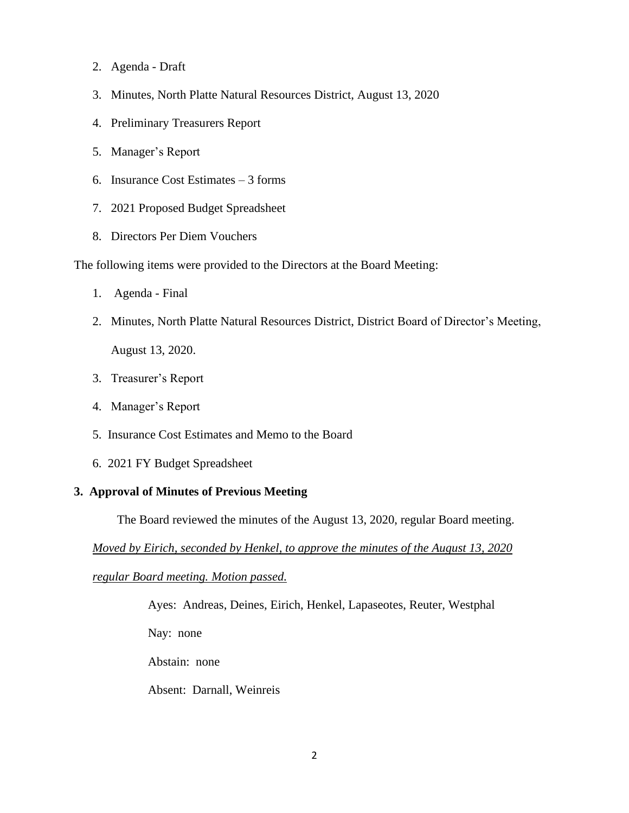- 2. Agenda Draft
- 3. Minutes, North Platte Natural Resources District, August 13, 2020
- 4. Preliminary Treasurers Report
- 5. Manager's Report
- 6. Insurance Cost Estimates 3 forms
- 7. 2021 Proposed Budget Spreadsheet
- 8. Directors Per Diem Vouchers

The following items were provided to the Directors at the Board Meeting:

- 1. Agenda Final
- 2. Minutes, North Platte Natural Resources District, District Board of Director's Meeting,

August 13, 2020.

- 3. Treasurer's Report
- 4. Manager's Report
- 5. Insurance Cost Estimates and Memo to the Board
- 6. 2021 FY Budget Spreadsheet

# **3. Approval of Minutes of Previous Meeting**

The Board reviewed the minutes of the August 13, 2020, regular Board meeting.

*Moved by Eirich, seconded by Henkel, to approve the minutes of the August 13, 2020* 

*regular Board meeting. Motion passed.*

Ayes: Andreas, Deines, Eirich, Henkel, Lapaseotes, Reuter, Westphal

Nay: none

Abstain: none

Absent: Darnall, Weinreis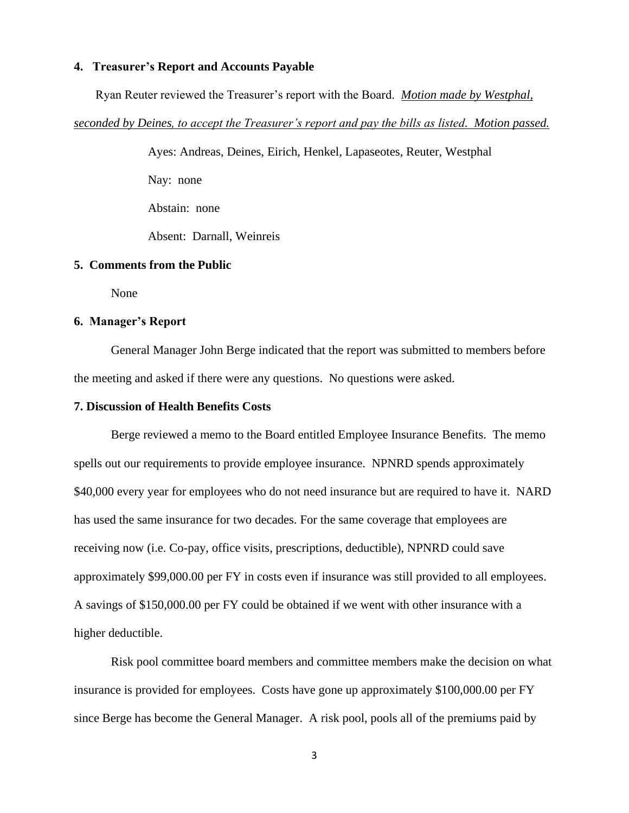### **4. Treasurer's Report and Accounts Payable**

Ryan Reuter reviewed the Treasurer's report with the Board. *Motion made by Westphal,* 

*seconded by Deines, to accept the Treasurer's report and pay the bills as listed. Motion passed.*

Ayes: Andreas, Deines, Eirich, Henkel, Lapaseotes, Reuter, Westphal Nay: none Abstain: none Absent: Darnall, Weinreis

### **5. Comments from the Public**

None

# **6. Manager's Report**

General Manager John Berge indicated that the report was submitted to members before the meeting and asked if there were any questions. No questions were asked.

#### **7. Discussion of Health Benefits Costs**

Berge reviewed a memo to the Board entitled Employee Insurance Benefits. The memo spells out our requirements to provide employee insurance. NPNRD spends approximately \$40,000 every year for employees who do not need insurance but are required to have it. NARD has used the same insurance for two decades. For the same coverage that employees are receiving now (i.e. Co-pay, office visits, prescriptions, deductible), NPNRD could save approximately \$99,000.00 per FY in costs even if insurance was still provided to all employees. A savings of \$150,000.00 per FY could be obtained if we went with other insurance with a higher deductible.

Risk pool committee board members and committee members make the decision on what insurance is provided for employees. Costs have gone up approximately \$100,000.00 per FY since Berge has become the General Manager. A risk pool, pools all of the premiums paid by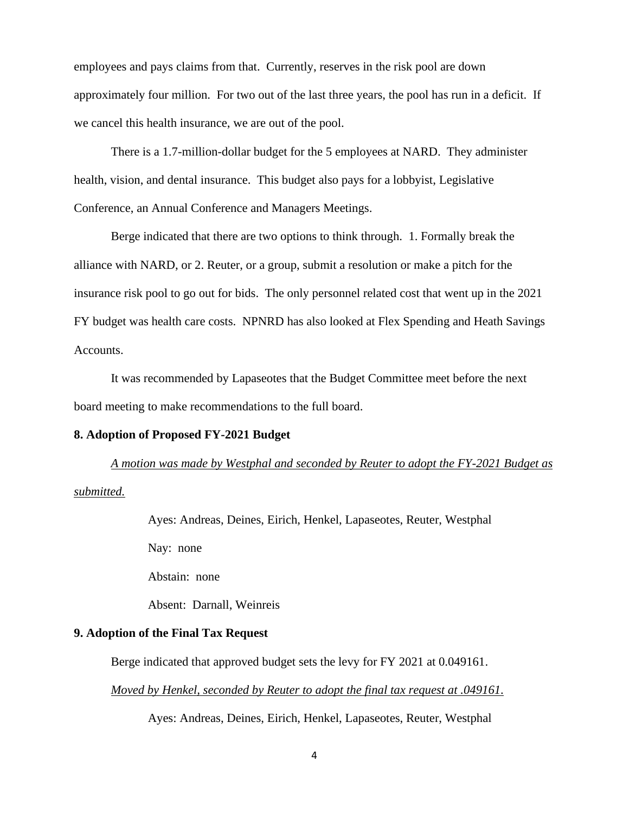employees and pays claims from that. Currently, reserves in the risk pool are down approximately four million. For two out of the last three years, the pool has run in a deficit. If we cancel this health insurance, we are out of the pool.

There is a 1.7-million-dollar budget for the 5 employees at NARD. They administer health, vision, and dental insurance. This budget also pays for a lobbyist, Legislative Conference, an Annual Conference and Managers Meetings.

Berge indicated that there are two options to think through. 1. Formally break the alliance with NARD, or 2. Reuter, or a group, submit a resolution or make a pitch for the insurance risk pool to go out for bids. The only personnel related cost that went up in the 2021 FY budget was health care costs. NPNRD has also looked at Flex Spending and Heath Savings Accounts.

It was recommended by Lapaseotes that the Budget Committee meet before the next board meeting to make recommendations to the full board.

### **8. Adoption of Proposed FY-2021 Budget**

*A motion was made by Westphal and seconded by Reuter to adopt the FY-2021 Budget as* 

*submitted.*

Ayes: Andreas, Deines, Eirich, Henkel, Lapaseotes, Reuter, Westphal Nay: none Abstain: none Absent: Darnall, Weinreis

# **9. Adoption of the Final Tax Request**

Berge indicated that approved budget sets the levy for FY 2021 at 0.049161.

*Moved by Henkel, seconded by Reuter to adopt the final tax request at .049161.*

Ayes: Andreas, Deines, Eirich, Henkel, Lapaseotes, Reuter, Westphal